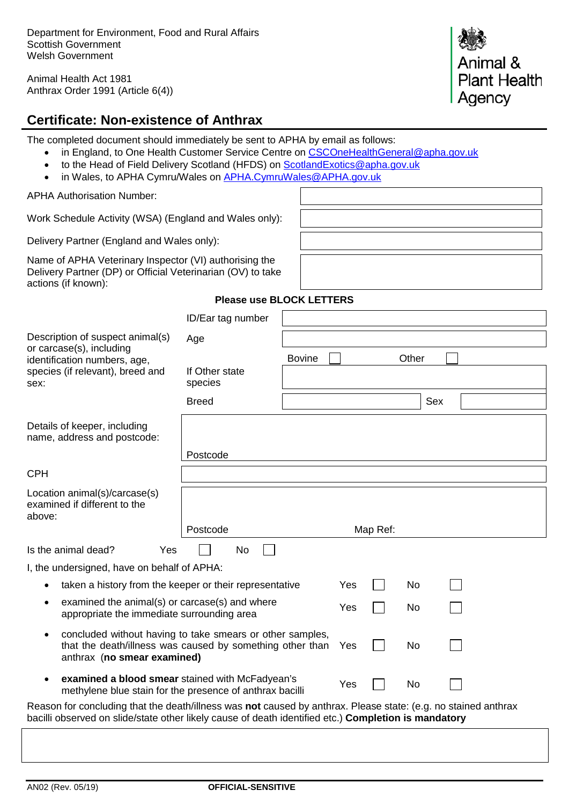Animal Health Act 1981 Anthrax Order 1991 (Article 6(4))



# **Certificate: Non-existence of Anthrax**

The completed document should immediately be sent to APHA by email as follows:

- in England, to One Health Customer Service Centre on [CSCOneHealthGeneral@apha.gov.uk](mailto:CSCOneHealthGeneral@apha.gov.uk)
- to the Head of Field Delivery Scotland (HFDS) on [ScotlandExotics@apha.gov.uk](mailto:ScotlandExotics@apha.gov.uk)
- in Wales, to APHA Cymru/Wales on [APHA.CymruWales@APHA.gov.uk](mailto:APHA.CymruWales@APHA.gov.uk)

APHA Authorisation Number:

Work Schedule Activity (WSA) (England and Wales only):

Delivery Partner (England and Wales only):

Name of APHA Veterinary Inspector (VI) authorising the Delivery Partner (DP) or Official Veterinarian (OV) to take actions (if known):

### **Please use BLOCK LETTERS**

|                                                                                                                                                                                                                        | ID/Ear tag number         |               |     |          |     |  |
|------------------------------------------------------------------------------------------------------------------------------------------------------------------------------------------------------------------------|---------------------------|---------------|-----|----------|-----|--|
| Description of suspect animal(s)                                                                                                                                                                                       | Age                       |               |     |          |     |  |
| or carcase(s), including<br>identification numbers, age,                                                                                                                                                               |                           | <b>Bovine</b> |     | Other    |     |  |
| species (if relevant), breed and<br>sex:                                                                                                                                                                               | If Other state<br>species |               |     |          |     |  |
|                                                                                                                                                                                                                        | <b>Breed</b>              |               |     |          | Sex |  |
| Details of keeper, including<br>name, address and postcode:                                                                                                                                                            |                           |               |     |          |     |  |
|                                                                                                                                                                                                                        | Postcode                  |               |     |          |     |  |
| <b>CPH</b>                                                                                                                                                                                                             |                           |               |     |          |     |  |
| Location animal(s)/carcase(s)<br>examined if different to the<br>above:                                                                                                                                                |                           |               |     |          |     |  |
|                                                                                                                                                                                                                        | Postcode                  |               |     | Map Ref: |     |  |
| Is the animal dead?<br>Yes                                                                                                                                                                                             | No                        |               |     |          |     |  |
| I, the undersigned, have on behalf of APHA:                                                                                                                                                                            |                           |               |     |          |     |  |
| taken a history from the keeper or their representative                                                                                                                                                                |                           | Yes           | No  |          |     |  |
| examined the animal(s) or carcase(s) and where<br>$\bullet$<br>appropriate the immediate surrounding area                                                                                                              |                           | Yes           | No  |          |     |  |
| concluded without having to take smears or other samples,<br>$\bullet$<br>that the death/illness was caused by something other than<br>No<br>Yes<br>anthrax (no smear examined)                                        |                           |               |     |          |     |  |
| examined a blood smear stained with McFadyean's<br>$\bullet$<br>methylene blue stain for the presence of anthrax bacilli                                                                                               |                           |               | Yes | No       |     |  |
| Reason for concluding that the death/illness was not caused by anthrax. Please state: (e.g. no stained anthrax<br>bacilli observed on slide/state other likely cause of death identified etc.) Completion is mandatory |                           |               |     |          |     |  |